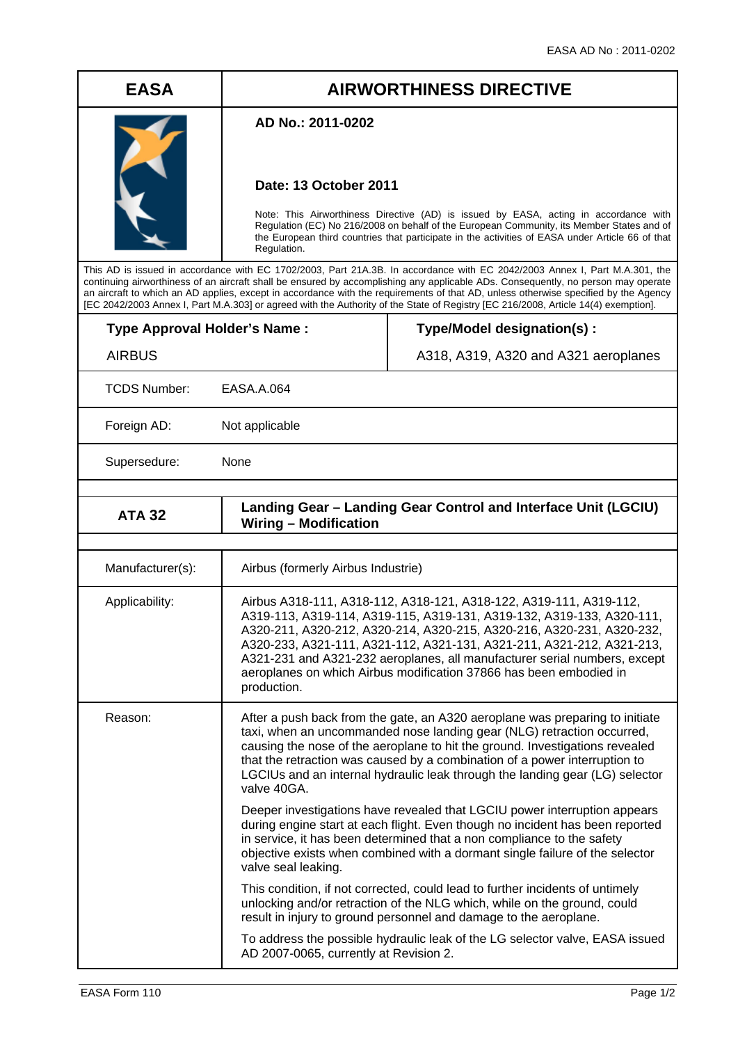## **EASA AIRWORTHINESS DIRECTIVE**

## **AD No.: 2011-0202**

## **Date: 13 October 2011**

Note: This Airworthiness Directive (AD) is issued by EASA, acting in accordance with Regulation (EC) No 216/2008 on behalf of the European Community, its Member States and of the European third countries that participate in the activities of EASA under Article 66 of that Regulation.

This AD is issued in accordance with EC 1702/2003, Part 21A.3B. In accordance with EC 2042/2003 Annex I, Part M.A.301, the continuing airworthiness of an aircraft shall be ensured by accomplishing any applicable ADs. Consequently, no person may operate an aircraft to which an AD applies, except in accordance with the requirements of that AD, unless otherwise specified by the Agency [EC 2042/2003 Annex I, Part M.A.303] or agreed with the Authority of the State of Registry [EC 216/2008, Article 14(4) exemption].

| <b>Type Approval Holder's Name:</b> |  |
|-------------------------------------|--|
| <b>AIRBUS</b>                       |  |

**Type/Model designation(s) :** 

A318, A319, A320 and A321 aeroplanes

TCDS Number: EASA.A.064

Foreign AD: Not applicable

Supersedure: None

| <b>ATA 32</b>    | Landing Gear - Landing Gear Control and Interface Unit (LGCIU)<br><b>Wiring - Modification</b>                                                                                                                                                                                                                                                                                                                                                                  |  |  |  |
|------------------|-----------------------------------------------------------------------------------------------------------------------------------------------------------------------------------------------------------------------------------------------------------------------------------------------------------------------------------------------------------------------------------------------------------------------------------------------------------------|--|--|--|
|                  |                                                                                                                                                                                                                                                                                                                                                                                                                                                                 |  |  |  |
| Manufacturer(s): | Airbus (formerly Airbus Industrie)                                                                                                                                                                                                                                                                                                                                                                                                                              |  |  |  |
| Applicability:   | Airbus A318-111, A318-112, A318-121, A318-122, A319-111, A319-112,<br>A319-113, A319-114, A319-115, A319-131, A319-132, A319-133, A320-111,<br>A320-211, A320-212, A320-214, A320-215, A320-216, A320-231, A320-232,<br>A320-233, A321-111, A321-112, A321-131, A321-211, A321-212, A321-213,<br>A321-231 and A321-232 aeroplanes, all manufacturer serial numbers, except<br>aeroplanes on which Airbus modification 37866 has been embodied in<br>production. |  |  |  |
| Reason:          | After a push back from the gate, an A320 aeroplane was preparing to initiate<br>taxi, when an uncommanded nose landing gear (NLG) retraction occurred,<br>causing the nose of the aeroplane to hit the ground. Investigations revealed<br>that the retraction was caused by a combination of a power interruption to<br>LGCIUs and an internal hydraulic leak through the landing gear (LG) selector<br>valve 40GA.                                             |  |  |  |
|                  | Deeper investigations have revealed that LGCIU power interruption appears<br>during engine start at each flight. Even though no incident has been reported<br>in service, it has been determined that a non compliance to the safety<br>objective exists when combined with a dormant single failure of the selector<br>valve seal leaking.                                                                                                                     |  |  |  |
|                  | This condition, if not corrected, could lead to further incidents of untimely<br>unlocking and/or retraction of the NLG which, while on the ground, could<br>result in injury to ground personnel and damage to the aeroplane.                                                                                                                                                                                                                                  |  |  |  |
|                  | To address the possible hydraulic leak of the LG selector valve, EASA issued<br>AD 2007-0065, currently at Revision 2.                                                                                                                                                                                                                                                                                                                                          |  |  |  |